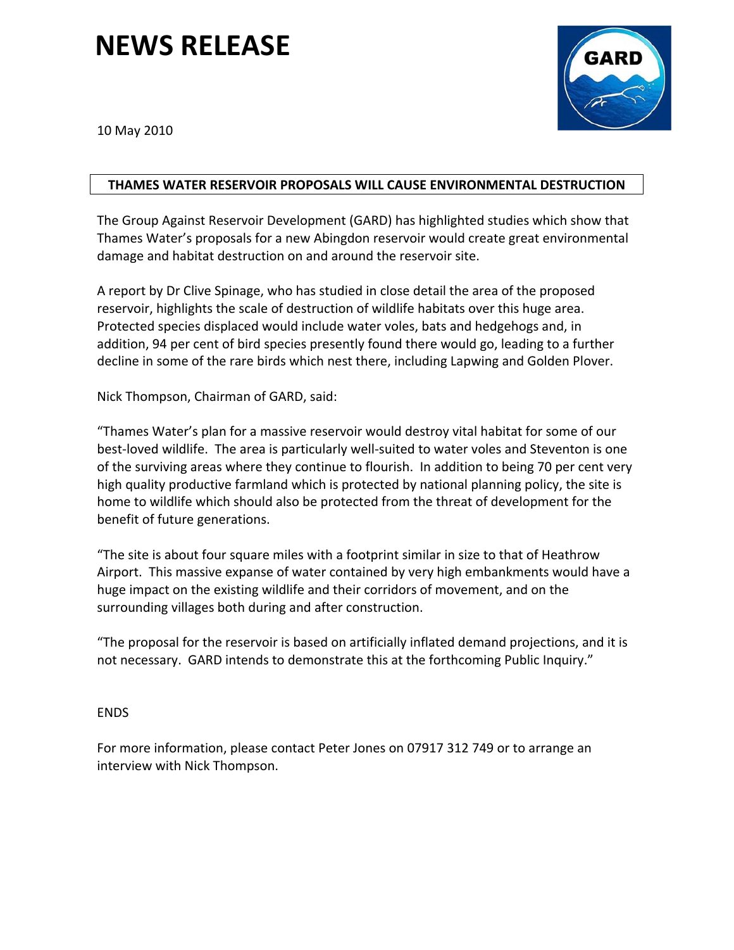## **NEWS RELEASE**



10 May 2010

## **THAMES WATER RESERVOIR PROPOSALS WILL CAUSE ENVIRONMENTAL DESTRUCTION**

The Group Against Reservoir Development (GARD) has highlighted studies which show that Thames Water's proposals for a new Abingdon reservoir would create great environmental damage and habitat destruction on and around the reservoir site.

A report by Dr Clive Spinage, who has studied in close detail the area of the proposed reservoir, highlights the scale of destruction of wildlife habitats over this huge area. Protected species displaced would include water voles, bats and hedgehogs and, in addition, 94 per cent of bird species presently found there would go, leading to a further decline in some of the rare birds which nest there, including Lapwing and Golden Plover.

Nick Thompson, Chairman of GARD, said:

"Thames Water's plan for a massive reservoir would destroy vital habitat for some of our best-loved wildlife. The area is particularly well-suited to water voles and Steventon is one of the surviving areas where they continue to flourish. In addition to being 70 per cent very high quality productive farmland which is protected by national planning policy, the site is home to wildlife which should also be protected from the threat of development for the benefit of future generations.

"The site is about four square miles with a footprint similar in size to that of Heathrow Airport. This massive expanse of water contained by very high embankments would have a huge impact on the existing wildlife and their corridors of movement, and on the surrounding villages both during and after construction.

"The proposal for the reservoir is based on artificially inflated demand projections, and it is not necessary. GARD intends to demonstrate this at the forthcoming Public Inquiry."

## ENDS

For more information, please contact Peter Jones on 07917 312 749 or to arrange an interview with Nick Thompson.